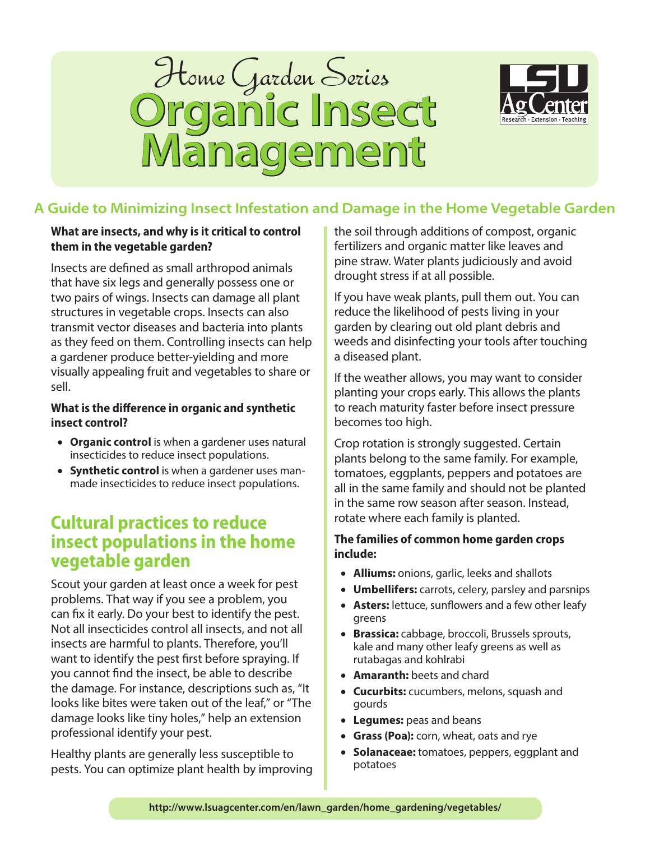



# **A Guide to Minimizing Insect Infestation and Damage in the Home Vegetable Garden**

### **What are insects, and why is it critical to control them in the vegetable garden?**

Insects are defined as small arthropod animals that have six legs and generally possess one or two pairs of wings. Insects can damage all plant structures in vegetable crops. Insects can also transmit vector diseases and bacteria into plants as they feed on them. Controlling insects can help a gardener produce better-yielding and more visually appealing fruit and vegetables to share or sell.

# **What is the difference in organic and synthetic insect control?**

- **Organic control** is when a gardener uses natural insecticides to reduce insect populations.
- **Synthetic control** is when a gardener uses manmade insecticides to reduce insect populations.

# **Cultural practices to reduce insect populations in the home vegetable garden**

Scout your garden at least once a week for pest problems. That way if you see a problem, you can fix it early. Do your best to identify the pest. Not all insecticides control all insects, and not all insects are harmful to plants. Therefore, you'll want to identify the pest first before spraying. If you cannot find the insect, be able to describe the damage. For instance, descriptions such as, "It looks like bites were taken out of the leaf," or "The damage looks like tiny holes," help an extension professional identify your pest.

Healthy plants are generally less susceptible to pests. You can optimize plant health by improving the soil through additions of compost, organic fertilizers and organic matter like leaves and pine straw. Water plants judiciously and avoid drought stress if at all possible.

If you have weak plants, pull them out. You can reduce the likelihood of pests living in your garden by clearing out old plant debris and weeds and disinfecting your tools after touching a diseased plant.

If the weather allows, you may want to consider planting your crops early. This allows the plants to reach maturity faster before insect pressure becomes too high.

Crop rotation is strongly suggested. Certain plants belong to the same family. For example, tomatoes, eggplants, peppers and potatoes are all in the same family and should not be planted in the same row season after season. Instead, rotate where each family is planted.

# **The families of common home garden crops include:**

- **Alliums:** onions, garlic, leeks and shallots
- **Umbellifers:** carrots, celery, parsley and parsnips
- **Asters:** lettuce, sunflowers and a few other leafy greens
- **Brassica:** cabbage, broccoli, Brussels sprouts, kale and many other leafy greens as well as rutabagas and kohlrabi
- **Amaranth:** beets and chard
- **Cucurbits:** cucumbers, melons, squash and gourds
- **Legumes:** peas and beans
- **Grass (Poa):** corn, wheat, oats and rye
- **Solanaceae:** tomatoes, peppers, eggplant and potatoes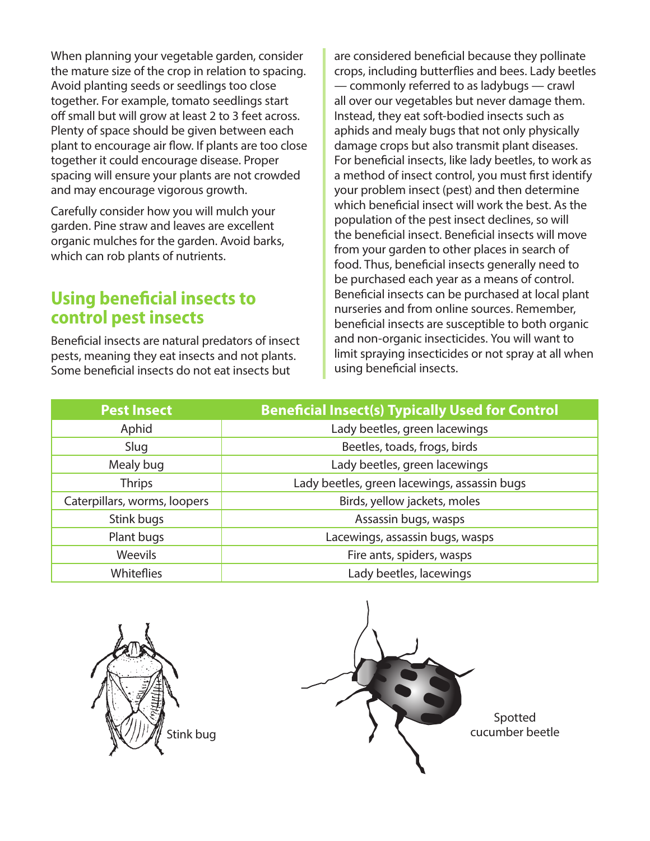When planning your vegetable garden, consider the mature size of the crop in relation to spacing. Avoid planting seeds or seedlings too close together. For example, tomato seedlings start off small but will grow at least 2 to 3 feet across. Plenty of space should be given between each plant to encourage air flow. If plants are too close together it could encourage disease. Proper spacing will ensure your plants are not crowded and may encourage vigorous growth.

Carefully consider how you will mulch your garden. Pine straw and leaves are excellent organic mulches for the garden. Avoid barks, which can rob plants of nutrients.

# **Using beneficial insects to control pest insects**

Beneficial insects are natural predators of insect pests, meaning they eat insects and not plants. Some beneficial insects do not eat insects but

are considered beneficial because they pollinate crops, including butterflies and bees. Lady beetles — commonly referred to as ladybugs — crawl all over our vegetables but never damage them. Instead, they eat soft-bodied insects such as aphids and mealy bugs that not only physically damage crops but also transmit plant diseases. For beneficial insects, like lady beetles, to work as a method of insect control, you must first identify your problem insect (pest) and then determine which beneficial insect will work the best. As the population of the pest insect declines, so will the beneficial insect. Beneficial insects will move from your garden to other places in search of food. Thus, beneficial insects generally need to be purchased each year as a means of control. Beneficial insects can be purchased at local plant nurseries and from online sources. Remember, beneficial insects are susceptible to both organic and non-organic insecticides. You will want to limit spraying insecticides or not spray at all when using beneficial insects.

| <b>Pest Insect</b>           | <b>Beneficial Insect(s) Typically Used for Control</b> |
|------------------------------|--------------------------------------------------------|
| Aphid                        | Lady beetles, green lacewings                          |
| Slug                         | Beetles, toads, frogs, birds                           |
| Mealy bug                    | Lady beetles, green lacewings                          |
| <b>Thrips</b>                | Lady beetles, green lacewings, assassin bugs           |
| Caterpillars, worms, loopers | Birds, yellow jackets, moles                           |
| Stink bugs                   | Assassin bugs, wasps                                   |
| Plant bugs                   | Lacewings, assassin bugs, wasps                        |
| <b>Weevils</b>               | Fire ants, spiders, wasps                              |
| <b>Whiteflies</b>            | Lady beetles, lacewings                                |



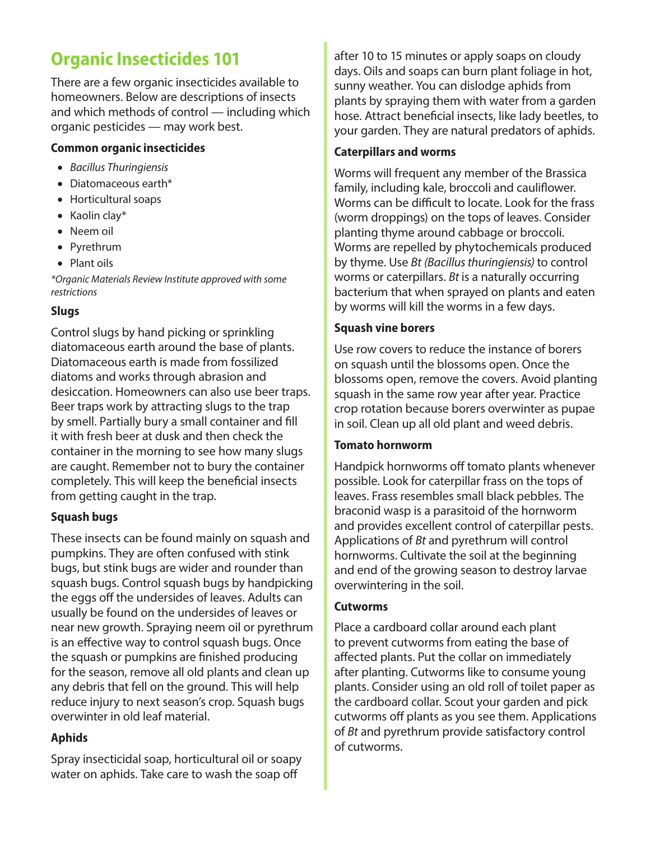# **Organic Insecticides 101**

There are a few organic insecticides available to homeowners. Below are descriptions of insects and which methods of control — including which organic pesticides — may work best.

# **Common organic insecticides**

- *Bacillus Thuringiensis*
- Diatomaceous earth\*
- Horticultural soaps
- Kaolin clay\*
- Neem oil
- Pyrethrum
- Plant oils

*\*Organic Materials Review Institute approved with some restrictions*

# **Slugs**

Control slugs by hand picking or sprinkling diatomaceous earth around the base of plants. Diatomaceous earth is made from fossilized diatoms and works through abrasion and desiccation. Homeowners can also use beer traps. Beer traps work by attracting slugs to the trap by smell. Partially bury a small container and fill it with fresh beer at dusk and then check the container in the morning to see how many slugs are caught. Remember not to bury the container completely. This will keep the beneficial insects from getting caught in the trap.

# **Squash bugs**

These insects can be found mainly on squash and pumpkins. They are often confused with stink bugs, but stink bugs are wider and rounder than squash bugs. Control squash bugs by handpicking the eggs off the undersides of leaves. Adults can usually be found on the undersides of leaves or near new growth. Spraying neem oil or pyrethrum is an effective way to control squash bugs. Once the squash or pumpkins are finished producing for the season, remove all old plants and clean up any debris that fell on the ground. This will help reduce injury to next season's crop. Squash bugs overwinter in old leaf material.

# **Aphids**

Spray insecticidal soap, horticultural oil or soapy water on aphids. Take care to wash the soap off

after 10 to 15 minutes or apply soaps on cloudy days. Oils and soaps can burn plant foliage in hot, sunny weather. You can dislodge aphids from plants by spraying them with water from a garden hose. Attract beneficial insects, like lady beetles, to your garden. They are natural predators of aphids.

# **Caterpillars and worms**

Worms will frequent any member of the Brassica family, including kale, broccoli and cauliflower. Worms can be difficult to locate. Look for the frass (worm droppings) on the tops of leaves. Consider planting thyme around cabbage or broccoli. Worms are repelled by phytochemicals produced by thyme. Use *Bt (Bacillus thuringiensis)* to control worms or caterpillars. *Bt* is a naturally occurring bacterium that when sprayed on plants and eaten by worms will kill the worms in a few days.

# **Squash vine borers**

Use row covers to reduce the instance of borers on squash until the blossoms open. Once the blossoms open, remove the covers. Avoid planting squash in the same row year after year. Practice crop rotation because borers overwinter as pupae in soil. Clean up all old plant and weed debris.

# **Tomato hornworm**

Handpick hornworms off tomato plants whenever possible. Look for caterpillar frass on the tops of leaves. Frass resembles small black pebbles. The braconid wasp is a parasitoid of the hornworm and provides excellent control of caterpillar pests. Applications of *Bt* and pyrethrum will control hornworms. Cultivate the soil at the beginning and end of the growing season to destroy larvae overwintering in the soil.

# **Cutworms**

Place a cardboard collar around each plant to prevent cutworms from eating the base of affected plants. Put the collar on immediately after planting. Cutworms like to consume young plants. Consider using an old roll of toilet paper as the cardboard collar. Scout your garden and pick cutworms off plants as you see them. Applications of *Bt* and pyrethrum provide satisfactory control of cutworms.